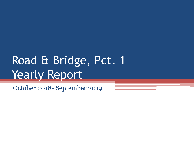# Road & Bridge, Pct. 1 **Yearly Report**

October 2018- September 2019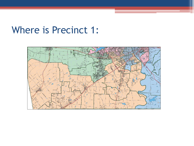#### Where is Precinct 1:

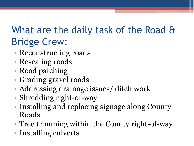### What are the daily task of the Road & Bridge Crew:

- Reconstructing roads
- Resealing roads
- Road patching
- Grading gravel roads
- Addressing drainage issues/ ditch work
- Shredding right-of-way
- Installing and replacing signage along County Roads
- Tree trimming within the County right-of-way
- Installing culverts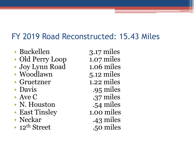#### FY 2019 Road Reconstructed: 15.43 Miles

- Buckellen 3.17 miles
- Old Perry Loop 1.07 miles
- Joy Lynn Road 1.06 miles
- Woodlawn 5.12 miles
- Gruetzner 1.22 miles
- 
- 
- N. Houston .54 miles
- East Tinsley 1.00 miles
- 
- 12<sup>th</sup> Street .50 miles

• Davis .95 miles • Ave C .37 miles • Neckar .43 miles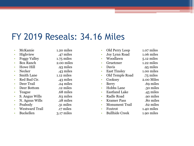#### FY 2019 Reseals: 34.16 Miles

- McKamie 1.20 miles
- Highview .47 miles
- Foggy Valley 1.75 miles
- Box Ranch 2.00 miles
- Howe Hill .93 miles
- Necker .43 miles
- Smith Lane 1.12 miles
- Red Bud Cir. 43 miles
- Deer Trail .24 miles
- Deer Bottom ... 12 miles
- Teague .68 miles
- S. Angus Wills .63 miles
- N. Agnus Wills .28 miles
- 
- Westward Trail .17 miles
- 
- 
- 
- -
- 
- 
- 
- - -
	-
	-
	-
- Peabody .31 miles
	-
	-
- Buckellen 3.17 miles
- Old Perry Loop 1.07 miles • Joy Lynn Road 1.06 miles • Woodlawn 5.12 miles • Gruetzner 1.22 miles • Davis .95 miles • East Tinsley 1.00 miles • Old Temple Road .75 miles • Cooksey 2.00 Miles • Berry .69 miles • Hobbs Lane .30 miles • Eastland Lake .45 miles • Radle Road .90 miles • Kramer Pass ... 80 miles • Monument Trail .62 miles • Foxtrot 1.40 miles
- Bullhide Creek 1.90 miles
- 
- 
-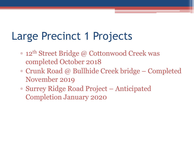## Large Precinct 1 Projects

- $\bullet$  **12<sup>th</sup> Street Bridge @ Cottonwood Creek was** completed October 2018
- Crunk Road @ Bullhide Creek bridge Completed November 2019
- Surrey Ridge Road Project Anticipated Completion January 2020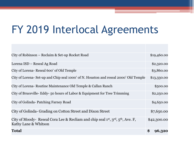### FY 2019 Interlocal Agreements

| City of Robinson – Reclaim & Set-up Rocket Road                                                                                             | \$19,460.00  |
|---------------------------------------------------------------------------------------------------------------------------------------------|--------------|
| Lorena ISD – Reseal Ag Road                                                                                                                 | \$2,320.00   |
| City of Lorena-Reseal 600' of Old Temple                                                                                                    | \$3,860.00   |
| City of Lorena- Set-up and Chip seal 1000' of N. Houston and reseal 2000' Old Temple                                                        | \$13,330.00  |
| City of Lorena-Routine Maintenance Old Temple & Callan Ranch                                                                                | \$500.00     |
| City of Bruceville-Eddy-50 hours of Labor & Equipment for Tree Trimming                                                                     | \$2,250.00   |
| City of Golinda-Patching Farney Road                                                                                                        | \$4,650.00   |
| City of Golinda- Grading on Cotton Street and Dixon Street                                                                                  | \$7,650.00   |
| City of Moody-Reseal Cora Lee & Recliam and chip seal 1 <sup>st</sup> , 3 <sup>rd</sup> , 5 <sup>th</sup> , Ave. F,<br>Kathy Lane & Whitson | \$42,300.00  |
| <b>Total</b>                                                                                                                                | \$<br>96,320 |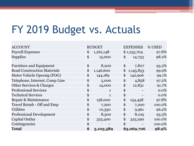## FY 2019 Budget vs. Actuals

| <b>ACCOUNT</b>                     | <b>BUDGET</b>      | <b>EXPENSES</b> | % USED  |
|------------------------------------|--------------------|-----------------|---------|
| <b>Payroll Expenses</b>            | \$<br>1,261,148    | \$1,235,704     | 97.8%   |
| <b>Supplies</b>                    | \$<br>15,000       | \$<br>14,733    | 98.2%   |
|                                    |                    |                 |         |
| <b>Furniture and Equipment</b>     | \$<br>8,200        | \$<br>7,807     | 95.2%   |
| <b>Road Construction Materials</b> | \$<br>1,146,600    | \$<br>1,145,853 | 99.9%   |
| Motor Vehicle Operatg (FOG)        | \$<br>144,189      | \$<br>142,906   | 99.1%   |
| Telephone, Internet, Comp Line     | \$<br>5,000        | \$<br>4,858     | 97.2%   |
| Other Services & Charges           | \$<br>14,000       | \$<br>12,831    | 91.7%   |
| <b>Professional Services</b>       | \$<br>$\mathbf{1}$ | \$              | $0.0\%$ |
| <b>Technical Services</b>          | \$<br>$\mathbf{1}$ | \$              | 0.0%    |
| Repair & Maintenance               | \$<br>158,000      | \$<br>154,458   | 97.8%   |
| Travel Reimb - Off and Emp         | \$<br>7,200        | \$<br>7,200     | 100.0%  |
| <b>Utilities</b>                   | \$<br>10,350       | \$<br>9,961     | 96.2%   |
| <b>Professional Development</b>    | \$<br>8,500        | \$<br>8,105     | 95.3%   |
| Capital Outlay                     | \$<br>325,400      | \$<br>325,290   | 100.0%  |
| Contingencies                      | \$                 | \$              | 100.0%  |
| <b>Total</b>                       | \$<br>3,103,589    | \$3,069,706     | 98.9%   |